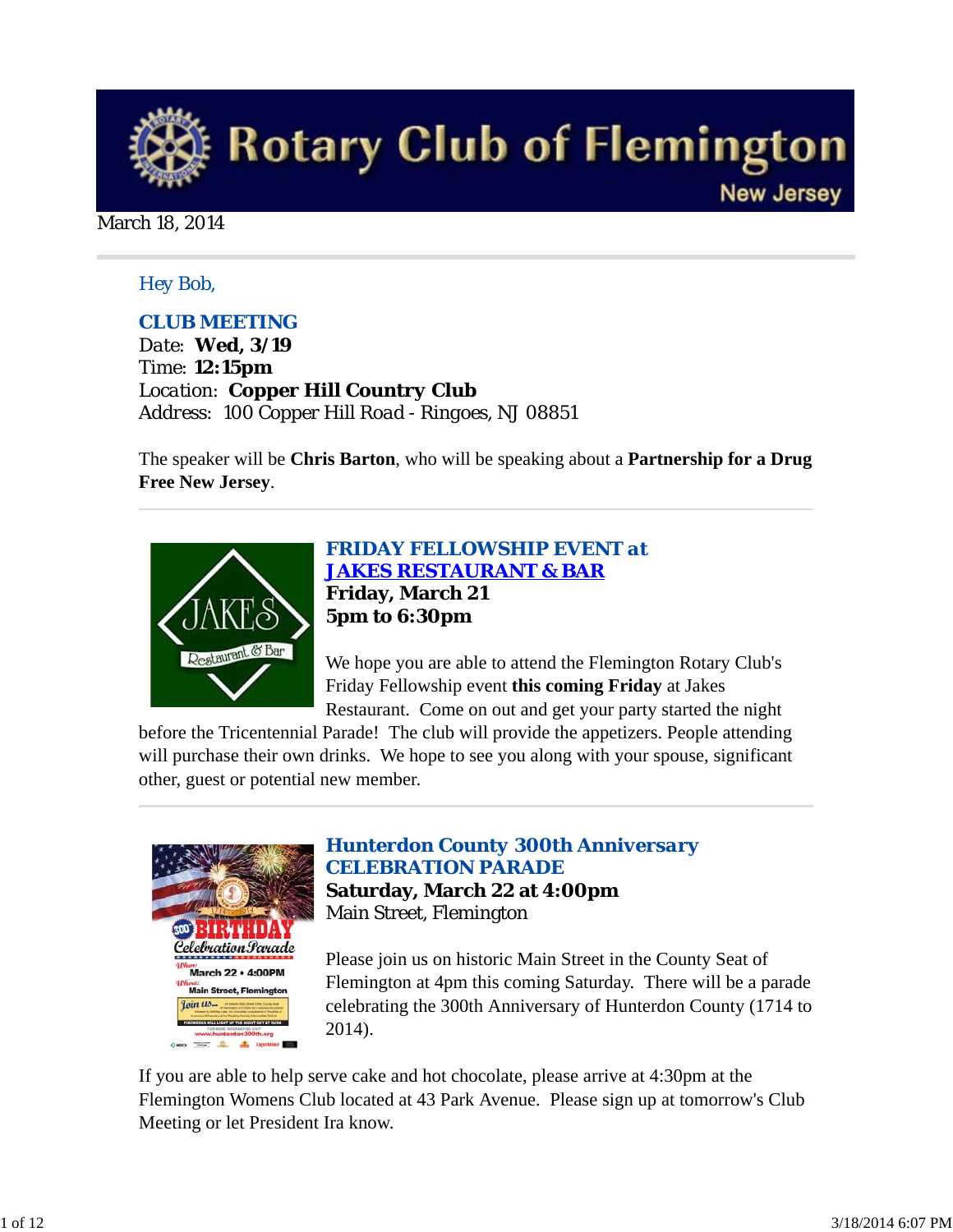

#### March 18, 2014

### *Hey Bob,*

### *CLUB MEETING*

*Date: Wed, 3/19 Time: 12:15pm Location: Copper Hill Country Club Address: 100 Copper Hill Road - Ringoes, NJ 08851*

The speaker will be **Chris Barton**, who will be speaking about a **Partnership for a Drug Free New Jersey**.



*FRIDAY FELLOWSHIP EVENT at JAKES RESTAURANT & BAR* **Friday, March 21 5pm to 6:30pm**

We hope you are able to attend the Flemington Rotary Club's Friday Fellowship event **this coming Friday** at Jakes Restaurant. Come on out and get your party started the night

before the Tricentennial Parade! The club will provide the appetizers. People attending

will purchase their own drinks. We hope to see you along with your spouse, significant other, guest or potential new member.



*Hunterdon County 300th Anniversary CELEBRATION PARADE* **Saturday, March 22 at 4:00pm** Main Street, Flemington

Please join us on historic Main Street in the County Seat of Flemington at 4pm this coming Saturday. There will be a parade celebrating the 300th Anniversary of Hunterdon County (1714 to 2014).

If you are able to help serve cake and hot chocolate, please arrive at 4:30pm at the Flemington Womens Club located at 43 Park Avenue. Please sign up at tomorrow's Club Meeting or let President Ira know.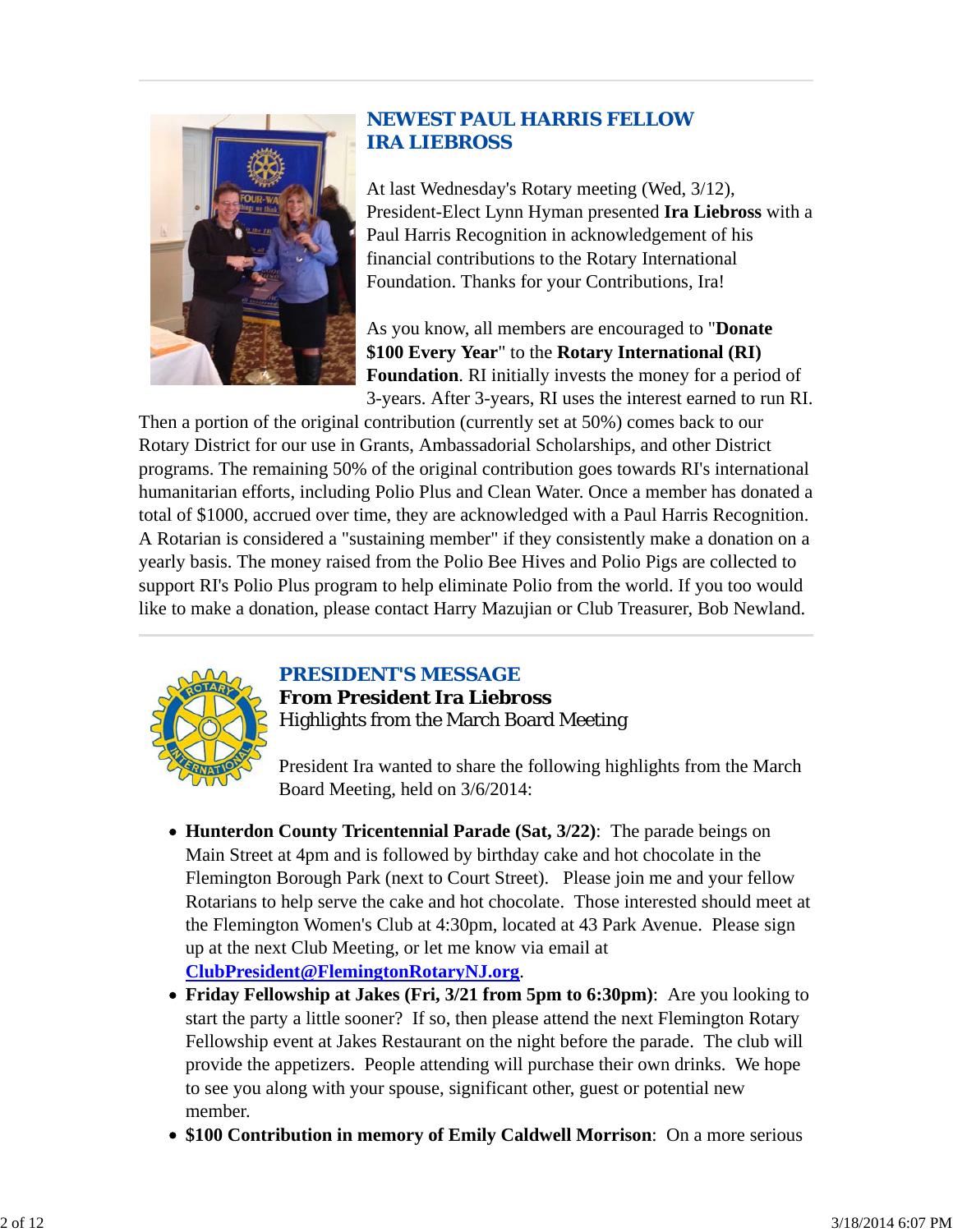

### *NEWEST PAUL HARRIS FELLOW IRA LIEBROSS*

At last Wednesday's Rotary meeting (Wed, 3/12), President-Elect Lynn Hyman presented **Ira Liebross** with a Paul Harris Recognition in acknowledgement of his financial contributions to the Rotary International Foundation. Thanks for your Contributions, Ira!

As you know, all members are encouraged to "**Donate \$100 Every Year**" to the **Rotary International (RI) Foundation**. RI initially invests the money for a period of 3-years. After 3-years, RI uses the interest earned to run RI.

Then a portion of the original contribution (currently set at 50%) comes back to our Rotary District for our use in Grants, Ambassadorial Scholarships, and other District programs. The remaining 50% of the original contribution goes towards RI's international humanitarian efforts, including Polio Plus and Clean Water. Once a member has donated a total of \$1000, accrued over time, they are acknowledged with a Paul Harris Recognition. A Rotarian is considered a "sustaining member" if they consistently make a donation on a yearly basis. The money raised from the Polio Bee Hives and Polio Pigs are collected to support RI's Polio Plus program to help eliminate Polio from the world. If you too would like to make a donation, please contact Harry Mazujian or Club Treasurer, Bob Newland.



# *PRESIDENT'S MESSAGE*

**From President Ira Liebross** Highlights from the March Board Meeting

President Ira wanted to share the following highlights from the March Board Meeting, held on 3/6/2014:

- **Hunterdon County Tricentennial Parade (Sat, 3/22)**: The parade beings on Main Street at 4pm and is followed by birthday cake and hot chocolate in the Flemington Borough Park (next to Court Street). Please join me and your fellow Rotarians to help serve the cake and hot chocolate. Those interested should meet at the Flemington Women's Club at 4:30pm, located at 43 Park Avenue. Please sign up at the next Club Meeting, or let me know via email at **ClubPresident@FlemingtonRotaryNJ.org**.
- **Friday Fellowship at Jakes (Fri, 3/21 from 5pm to 6:30pm)**: Are you looking to start the party a little sooner? If so, then please attend the next Flemington Rotary Fellowship event at Jakes Restaurant on the night before the parade. The club will provide the appetizers. People attending will purchase their own drinks. We hope to see you along with your spouse, significant other, guest or potential new member.
- **\$100 Contribution in memory of Emily Caldwell Morrison**: On a more serious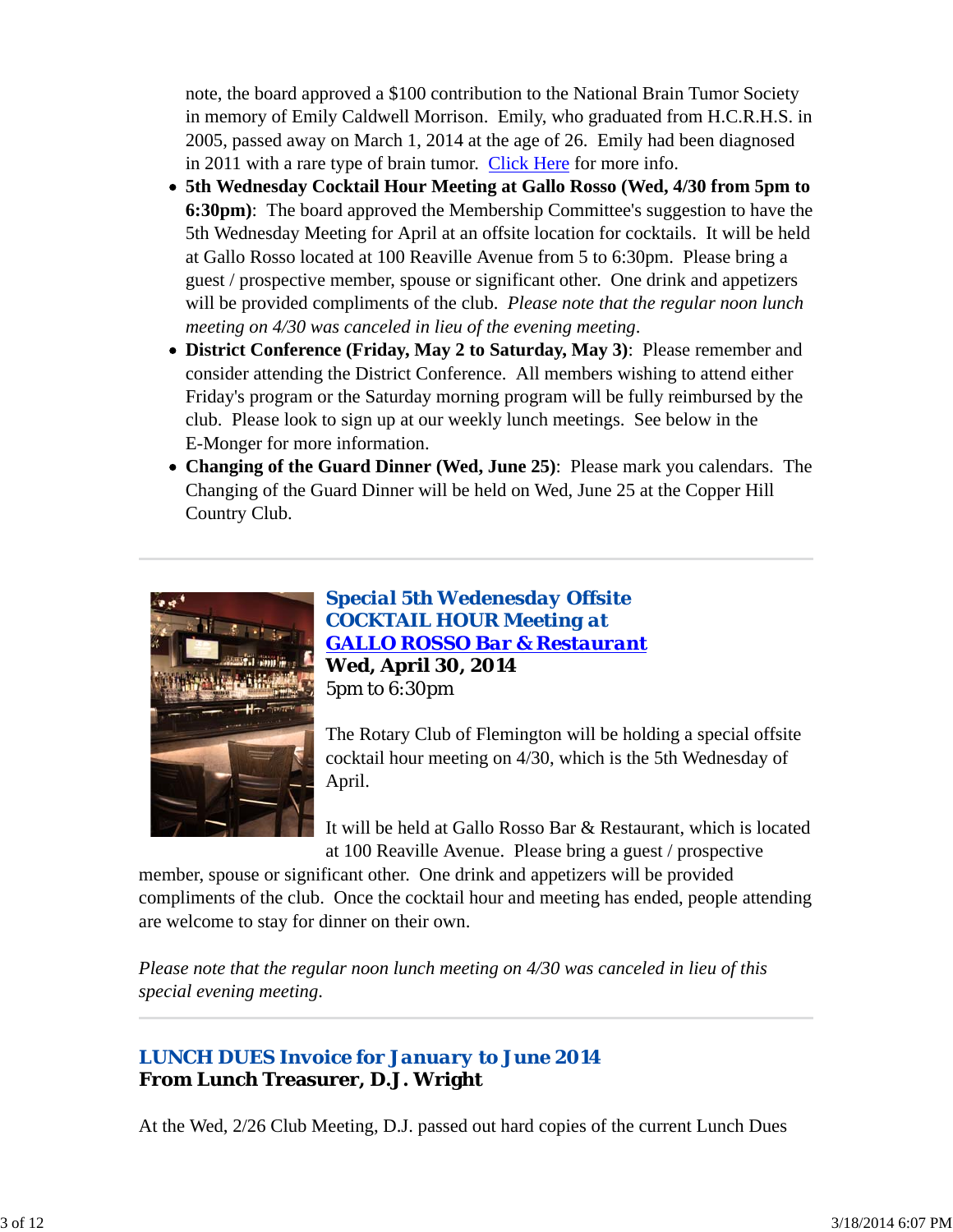note, the board approved a \$100 contribution to the National Brain Tumor Society in memory of Emily Caldwell Morrison. Emily, who graduated from H.C.R.H.S. in 2005, passed away on March 1, 2014 at the age of 26. Emily had been diagnosed in 2011 with a rare type of brain tumor. Click Here for more info.

- **5th Wednesday Cocktail Hour Meeting at Gallo Rosso (Wed, 4/30 from 5pm to 6:30pm)**: The board approved the Membership Committee's suggestion to have the 5th Wednesday Meeting for April at an offsite location for cocktails. It will be held at Gallo Rosso located at 100 Reaville Avenue from 5 to 6:30pm. Please bring a guest / prospective member, spouse or significant other. One drink and appetizers will be provided compliments of the club. *Please note that the regular noon lunch meeting on 4/30 was canceled in lieu of the evening meeting*.
- **District Conference (Friday, May 2 to Saturday, May 3)**: Please remember and consider attending the District Conference. All members wishing to attend either Friday's program or the Saturday morning program will be fully reimbursed by the club. Please look to sign up at our weekly lunch meetings. See below in the E-Monger for more information.
- **Changing of the Guard Dinner (Wed, June 25)**: Please mark you calendars. The Changing of the Guard Dinner will be held on Wed, June 25 at the Copper Hill Country Club.



*Special 5th Wedenesday Offsite COCKTAIL HOUR Meeting at GALLO ROSSO Bar & Restaurant* **Wed, April 30, 2014** 5pm to 6:30pm

The Rotary Club of Flemington will be holding a special offsite cocktail hour meeting on 4/30, which is the 5th Wednesday of April.

It will be held at Gallo Rosso Bar & Restaurant, which is located at 100 Reaville Avenue. Please bring a guest / prospective

member, spouse or significant other. One drink and appetizers will be provided compliments of the club. Once the cocktail hour and meeting has ended, people attending are welcome to stay for dinner on their own.

*Please note that the regular noon lunch meeting on 4/30 was canceled in lieu of this special evening meeting*.

### *LUNCH DUES Invoice for January to June 2014* **From Lunch Treasurer, D.J. Wright**

At the Wed, 2/26 Club Meeting, D.J. passed out hard copies of the current Lunch Dues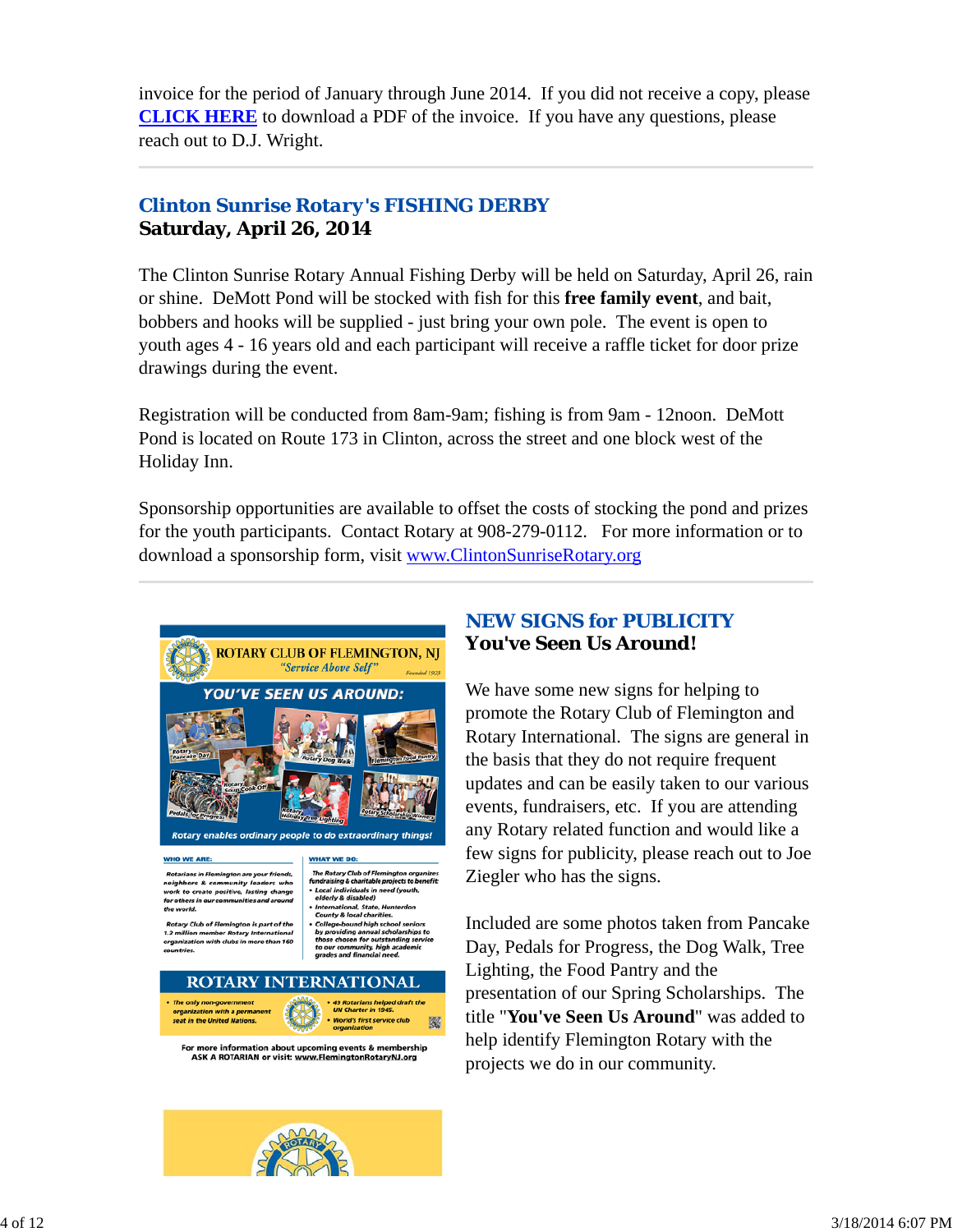invoice for the period of January through June 2014. If you did not receive a copy, please **CLICK HERE** to download a PDF of the invoice. If you have any questions, please reach out to D.J. Wright.

### *Clinton Sunrise Rotary's FISHING DERBY* **Saturday, April 26, 2014**

The Clinton Sunrise Rotary Annual Fishing Derby will be held on Saturday, April 26, rain or shine. DeMott Pond will be stocked with fish for this **free family event**, and bait, bobbers and hooks will be supplied - just bring your own pole. The event is open to youth ages 4 - 16 years old and each participant will receive a raffle ticket for door prize drawings during the event.

Registration will be conducted from 8am-9am; fishing is from 9am - 12noon. DeMott Pond is located on Route 173 in Clinton, across the street and one block west of the Holiday Inn.

Sponsorship opportunities are available to offset the costs of stocking the pond and prizes for the youth participants. Contact Rotary at 908-279-0112. For more information or to download a sponsorship form, visit www.ClintonSunriseRotary.org



#### **WHO WE ARE:**

Rotarians in Flemington are your friends,<br>seighbors & community leaders who<br>vork to create positive, lasting change for others in our co. nities and an

- The Rotary Club of Flemington organizes<br>fundraising & charitable projects to benefit: **Local individuals in need (youth,<br>elderly & disabled)**
- national, State, Hunte<br>Ity & local charities. n enarrees.<br>d high school seniors<br>annual scholarships to ung annual sci<br>vsen for outsti

ary Club of Flemington is part of the<br>nillion member Rotary Internationa with clubs in more than

ir community, high aca<mark>ı</mark><br>es and financial need. **ROTARY INTERNATIONAL** The only non-government 49 Rotarians helped draft the<br>UN Charter in 1945. seat in the United Nations. **World's first service club** 鑿

For more information about upcom ing events & m rship ASK A ROTARIAN or visit: www.FlemingtonRotaryNJ.org

### *NEW SIGNS for PUBLICITY* **You've Seen Us Around!**

We have some new signs for helping to promote the Rotary Club of Flemington and Rotary International. The signs are general in the basis that they do not require frequent updates and can be easily taken to our various events, fundraisers, etc. If you are attending any Rotary related function and would like a few signs for publicity, please reach out to Joe Ziegler who has the signs.

Included are some photos taken from Pancake Day, Pedals for Progress, the Dog Walk, Tree Lighting, the Food Pantry and the presentation of our Spring Scholarships. The title "**You've Seen Us Around**" was added to help identify Flemington Rotary with the projects we do in our community.

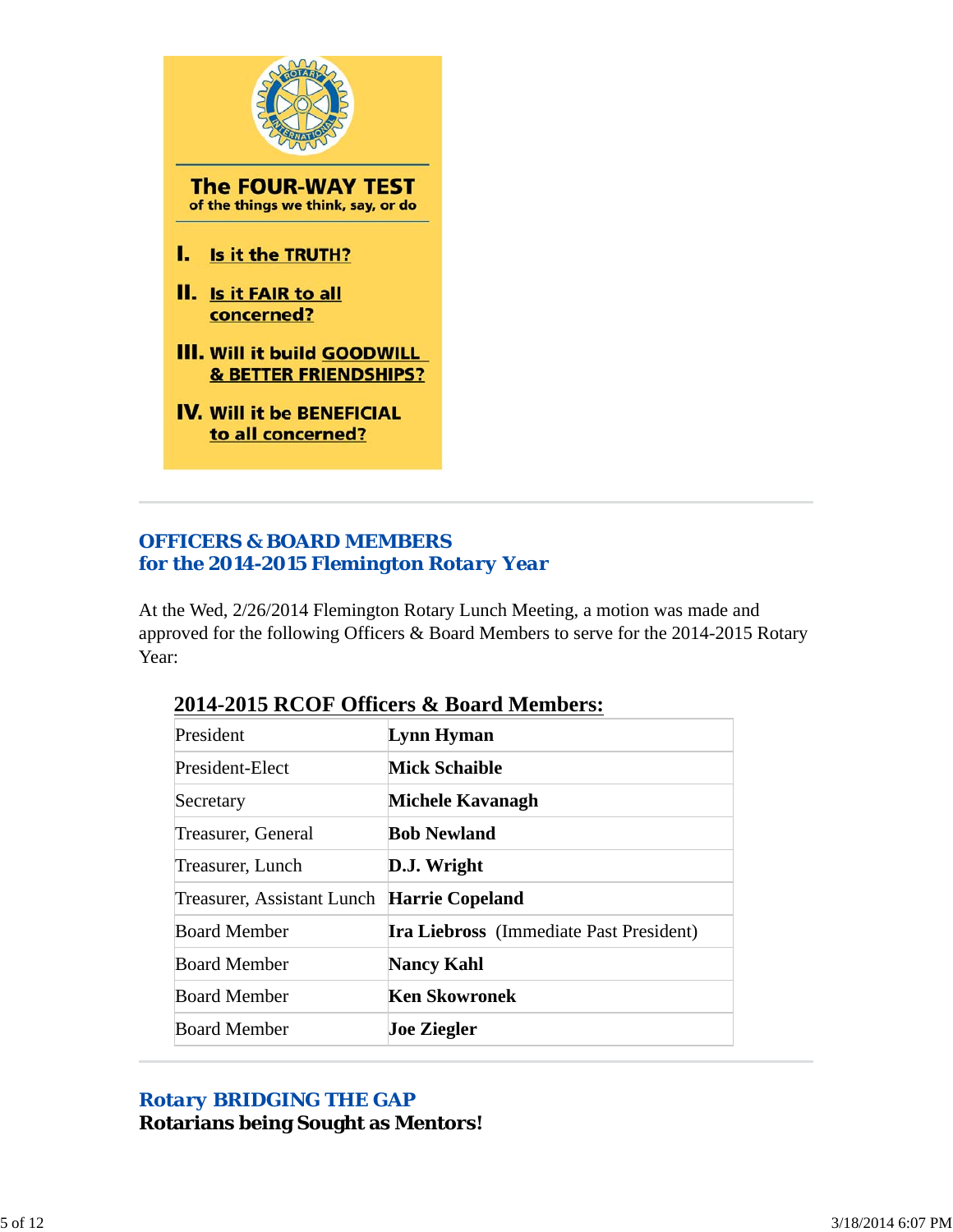

### *OFFICERS & BOARD MEMBERS for the 2014-2015 Flemington Rotary Year*

At the Wed, 2/26/2014 Flemington Rotary Lunch Meeting, a motion was made and approved for the following Officers & Board Members to serve for the 2014-2015 Rotary Year:

| President                                  | Lynn Hyman                                     |
|--------------------------------------------|------------------------------------------------|
| President-Elect                            | <b>Mick Schaible</b>                           |
| Secretary                                  | Michele Kavanagh                               |
| Treasurer, General                         | <b>Bob Newland</b>                             |
| Treasurer, Lunch                           | D.J. Wright                                    |
| Treasurer, Assistant Lunch Harrie Copeland |                                                |
| <b>Board Member</b>                        | <b>Ira Liebross</b> (Immediate Past President) |
| <b>Board Member</b>                        | <b>Nancy Kahl</b>                              |
| <b>Board Member</b>                        | <b>Ken Skowronek</b>                           |
| <b>Board Member</b>                        | <b>Joe Ziegler</b>                             |

### **2014-2015 RCOF Officers & Board Members:**

### *Rotary BRIDGING THE GAP* **Rotarians being Sought as Mentors!**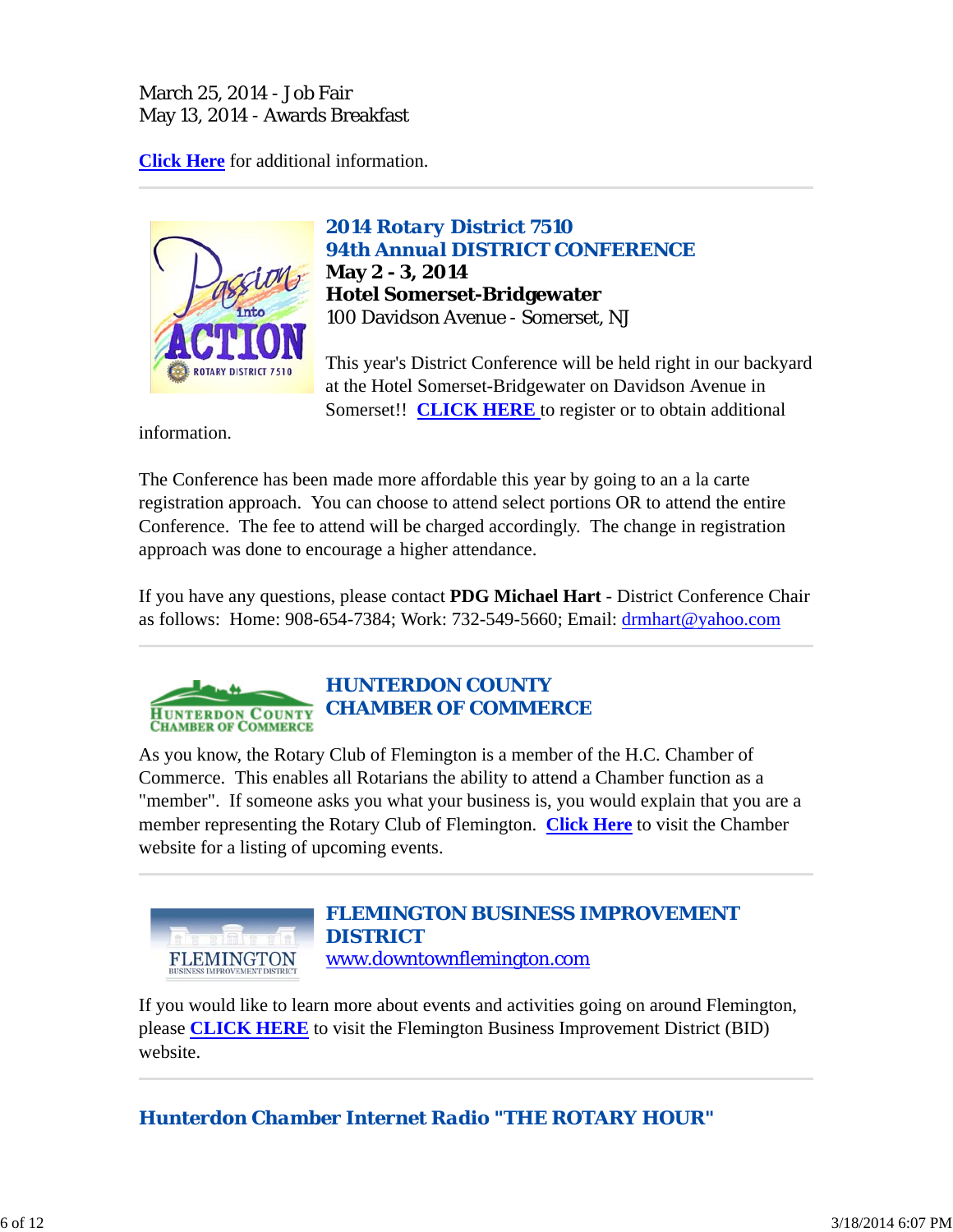### March 25, 2014 - Job Fair May 13, 2014 - Awards Breakfast

**Click Here** for additional information.



*2014 Rotary District 7510 94th Annual DISTRICT CONFERENCE* **May 2 - 3, 2014 Hotel Somerset-Bridgewater** 100 Davidson Avenue - Somerset, NJ

This year's District Conference will be held right in our backyard at the Hotel Somerset-Bridgewater on Davidson Avenue in Somerset!! **CLICK HERE** to register or to obtain additional

information.

The Conference has been made more affordable this year by going to an a la carte registration approach. You can choose to attend select portions OR to attend the entire Conference. The fee to attend will be charged accordingly. The change in registration approach was done to encourage a higher attendance.

If you have any questions, please contact **PDG Michael Hart** - District Conference Chair as follows: Home: 908-654-7384; Work: 732-549-5660; Email: drmhart@yahoo.com



As you know, the Rotary Club of Flemington is a member of the H.C. Chamber of Commerce. This enables all Rotarians the ability to attend a Chamber function as a "member". If someone asks you what your business is, you would explain that you are a member representing the Rotary Club of Flemington. **Click Here** to visit the Chamber website for a listing of upcoming events.



If you would like to learn more about events and activities going on around Flemington, please **CLICK HERE** to visit the Flemington Business Improvement District (BID) website.

*Hunterdon Chamber Internet Radio "THE ROTARY HOUR"*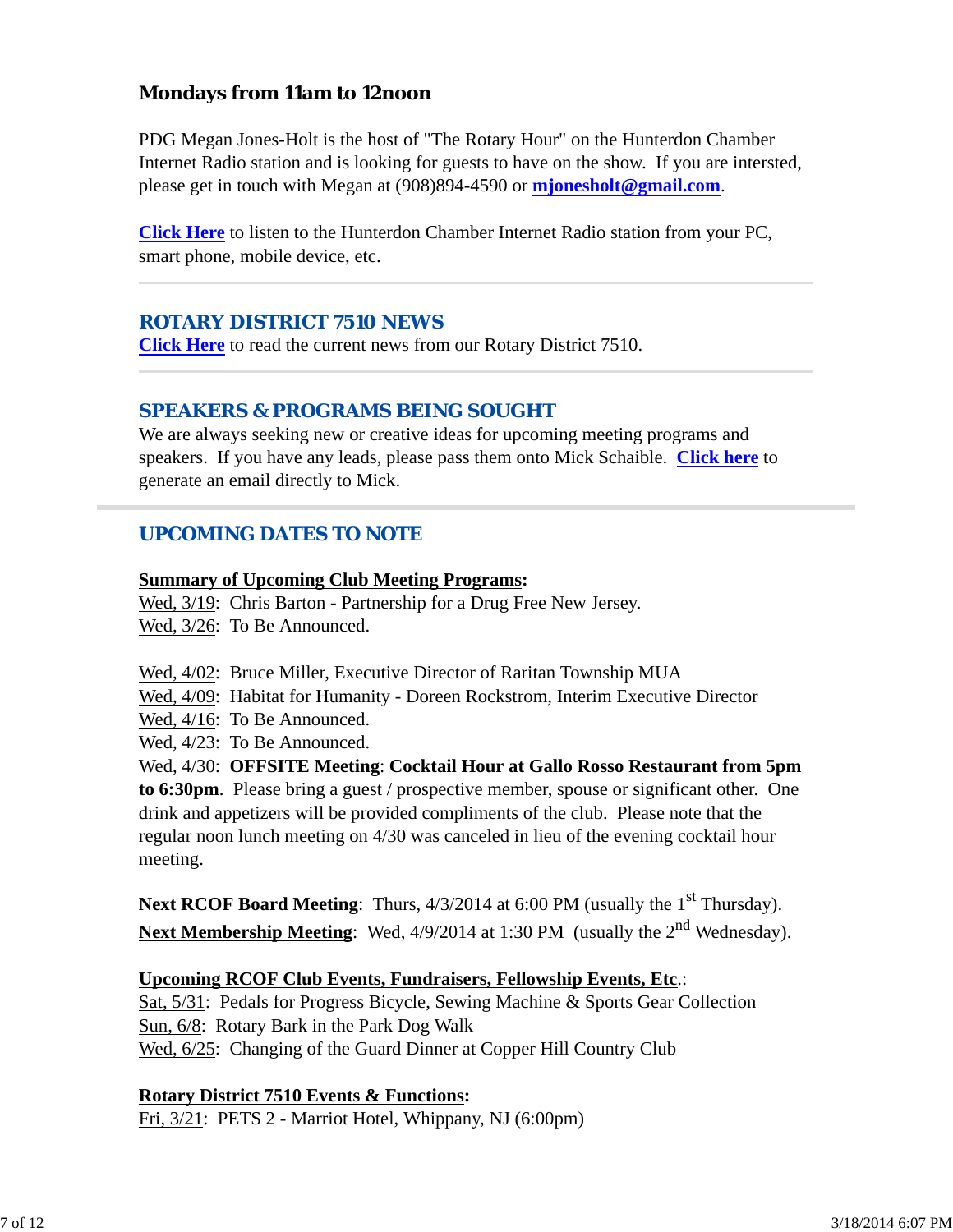### **Mondays from 11am to 12noon**

PDG Megan Jones-Holt is the host of "The Rotary Hour" on the Hunterdon Chamber Internet Radio station and is looking for guests to have on the show. If you are intersted, please get in touch with Megan at (908)894-4590 or **mjonesholt@gmail.com**.

**Click Here** to listen to the Hunterdon Chamber Internet Radio station from your PC, smart phone, mobile device, etc.

### *ROTARY DISTRICT 7510 NEWS*

**Click Here** to read the current news from our Rotary District 7510.

#### *SPEAKERS & PROGRAMS BEING SOUGHT*

We are always seeking new or creative ideas for upcoming meeting programs and speakers. If you have any leads, please pass them onto Mick Schaible. **Click here** to generate an email directly to Mick.

### *UPCOMING DATES TO NOTE*

#### **Summary of Upcoming Club Meeting Programs:**

Wed,  $3/19$ : Chris Barton - Partnership for a Drug Free New Jersey. Wed, 3/26: To Be Announced.

- Wed, 4/02: Bruce Miller, Executive Director of Raritan Township MUA
- Wed, 4/09: Habitat for Humanity Doreen Rockstrom, Interim Executive Director
- Wed, 4/16: To Be Announced.
- Wed, 4/23: To Be Announced.

Wed, 4/30: **OFFSITE Meeting**: **Cocktail Hour at Gallo Rosso Restaurant from 5pm to 6:30pm**. Please bring a guest / prospective member, spouse or significant other. One drink and appetizers will be provided compliments of the club. Please note that the regular noon lunch meeting on 4/30 was canceled in lieu of the evening cocktail hour meeting.

**Next RCOF Board Meeting**: Thurs,  $4/3/2014$  at 6:00 PM (usually the 1<sup>st</sup> Thursday). **Next Membership Meeting:** Wed, 4/9/2014 at 1:30 PM (usually the 2<sup>nd</sup> Wednesday).

#### **Upcoming RCOF Club Events, Fundraisers, Fellowship Events, Etc**.:

Sat, 5/31: Pedals for Progress Bicycle, Sewing Machine & Sports Gear Collection Sun, 6/8: Rotary Bark in the Park Dog Walk Wed,  $6/25$ : Changing of the Guard Dinner at Copper Hill Country Club

#### **Rotary District 7510 Events & Functions:**

Fri, 3/21: PETS 2 - Marriot Hotel, Whippany, NJ (6:00pm)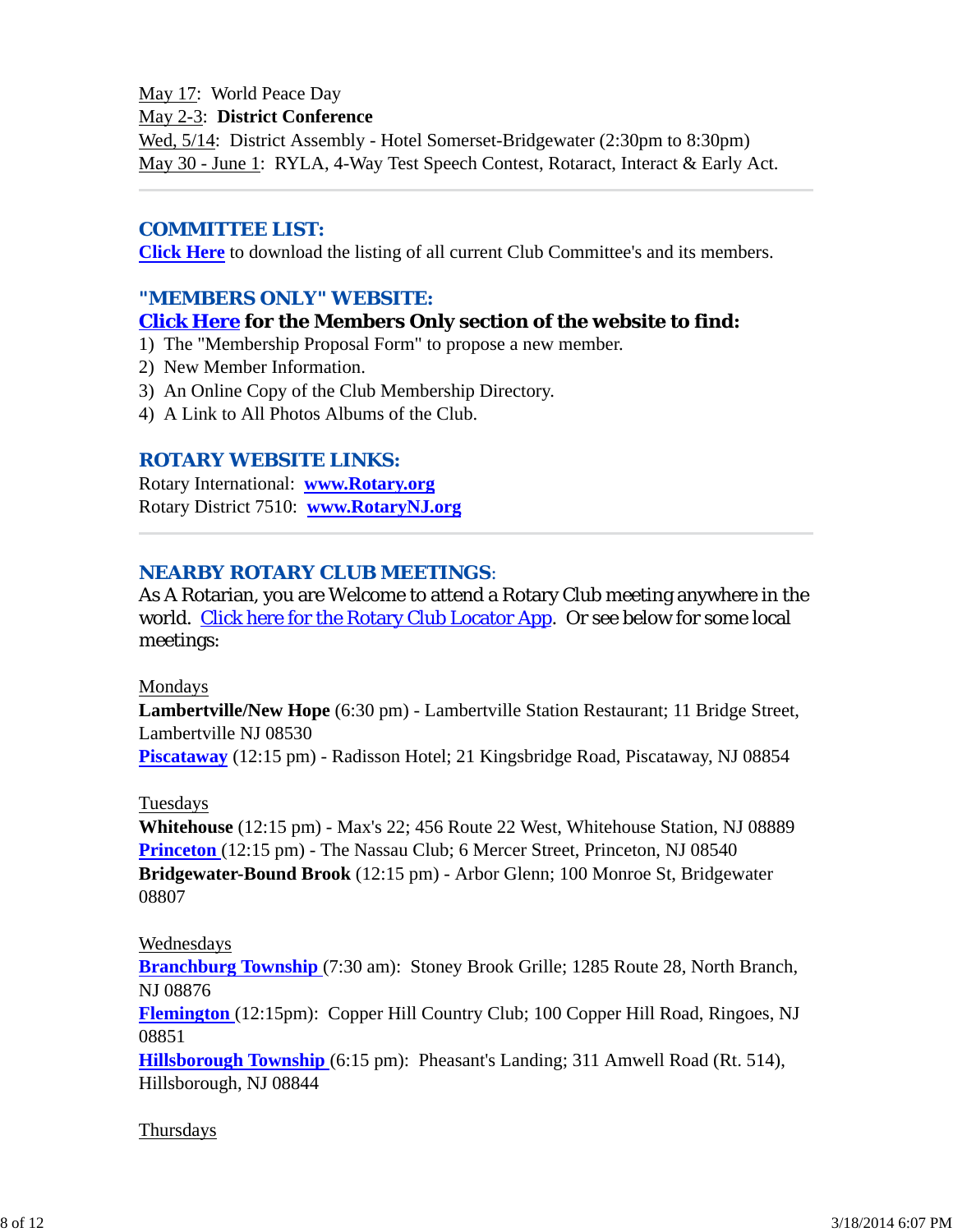#### May 17: World Peace Day

#### May 2-3: **District Conference**

Wed, 5/14: District Assembly - Hotel Somerset-Bridgewater (2:30pm to 8:30pm) May 30 - June 1: RYLA, 4-Way Test Speech Contest, Rotaract, Interact & Early Act.

#### *COMMITTEE LIST:*

**Click Here** to download the listing of all current Club Committee's and its members.

### *"MEMBERS ONLY" WEBSITE:*

### **Click Here for the Members Only section of the website to find:**

- 1) The "Membership Proposal Form" to propose a new member.
- 2) New Member Information.
- 3) An Online Copy of the Club Membership Directory.
- 4) A Link to All Photos Albums of the Club.

### *ROTARY WEBSITE LINKS:*

Rotary International: **www.Rotary.org** Rotary District 7510: **www.RotaryNJ.org**

### *NEARBY ROTARY CLUB MEETINGS:*

As A Rotarian, you are Welcome to attend a Rotary Club meeting anywhere in the world. Click here for the Rotary Club Locator App. Or see below for some local meetings:

#### Mondays

**Lambertville/New Hope** (6:30 pm) - Lambertville Station Restaurant; 11 Bridge Street, Lambertville NJ 08530

**Piscataway** (12:15 pm) - Radisson Hotel; 21 Kingsbridge Road, Piscataway, NJ 08854

#### Tuesdays

**Whitehouse** (12:15 pm) - Max's 22; 456 Route 22 West, Whitehouse Station, NJ 08889 **Princeton** (12:15 pm) - The Nassau Club; 6 Mercer Street, Princeton, NJ 08540 **Bridgewater-Bound Brook** (12:15 pm) - Arbor Glenn; 100 Monroe St, Bridgewater 08807

### Wednesdays

**Branchburg Township** (7:30 am): Stoney Brook Grille; 1285 Route 28, North Branch, NJ 08876

**Flemington** (12:15pm): Copper Hill Country Club; 100 Copper Hill Road, Ringoes, NJ 08851

**Hillsborough Township** (6:15 pm): Pheasant's Landing; 311 Amwell Road (Rt. 514), Hillsborough, NJ 08844

#### Thursdays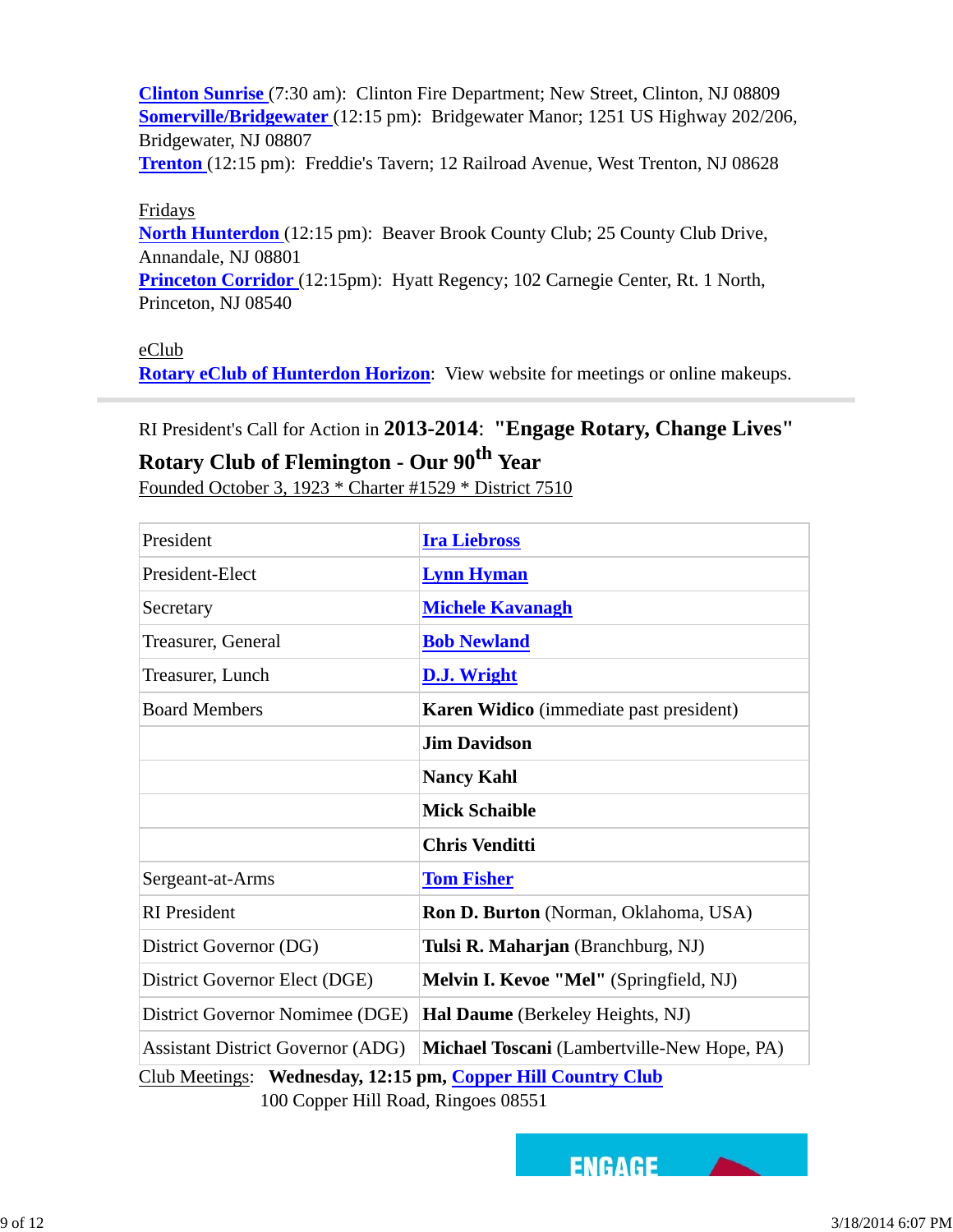**Clinton Sunrise** (7:30 am): Clinton Fire Department; New Street, Clinton, NJ 08809 **Somerville/Bridgewater** (12:15 pm): Bridgewater Manor; 1251 US Highway 202/206, Bridgewater, NJ 08807

**Trenton** (12:15 pm): Freddie's Tavern; 12 Railroad Avenue, West Trenton, NJ 08628

#### Fridays

**North Hunterdon** (12:15 pm): Beaver Brook County Club; 25 County Club Drive, Annandale, NJ 08801

**Princeton Corridor** (12:15pm): Hyatt Regency; 102 Carnegie Center, Rt. 1 North, Princeton, NJ 08540

#### eClub

**Rotary eClub of Hunterdon Horizon**: View website for meetings or online makeups.

### RI President's Call for Action in **2013-2014**: **"Engage Rotary, Change Lives"**

# **Rotary Club of Flemington - Our 90th Year**

Founded October 3, 1923 \* Charter #1529 \* District 7510

| President                                                                                                | <b>Ira Liebross</b>                          |  |  |
|----------------------------------------------------------------------------------------------------------|----------------------------------------------|--|--|
| President-Elect                                                                                          | <b>Lynn Hyman</b>                            |  |  |
| Secretary                                                                                                | <b>Michele Kavanagh</b>                      |  |  |
| Treasurer, General                                                                                       | <b>Bob Newland</b>                           |  |  |
| Treasurer, Lunch                                                                                         | D.J. Wright                                  |  |  |
| <b>Board Members</b>                                                                                     | Karen Widico (immediate past president)      |  |  |
|                                                                                                          | <b>Jim Davidson</b>                          |  |  |
|                                                                                                          | <b>Nancy Kahl</b>                            |  |  |
|                                                                                                          | <b>Mick Schaible</b>                         |  |  |
|                                                                                                          | <b>Chris Venditti</b>                        |  |  |
| Sergeant-at-Arms                                                                                         | <b>Tom Fisher</b>                            |  |  |
| <b>RI</b> President                                                                                      | <b>Ron D. Burton</b> (Norman, Oklahoma, USA) |  |  |
| District Governor (DG)                                                                                   | Tulsi R. Maharjan (Branchburg, NJ)           |  |  |
| District Governor Elect (DGE)                                                                            | Melvin I. Kevoe "Mel" (Springfield, NJ)      |  |  |
| District Governor Nomimee (DGE)                                                                          | Hal Daume (Berkeley Heights, NJ)             |  |  |
| <b>Assistant District Governor (ADG)</b>                                                                 | Michael Toscani (Lambertville-New Hope, PA)  |  |  |
| Club Meetings: Wednesday, 12:15 pm, Copper Hill Country Club<br>$100$ Conner Hill Dood, Dingoos $0.0551$ |                                              |  |  |

100 Copper Hill Road, Ringoes 08551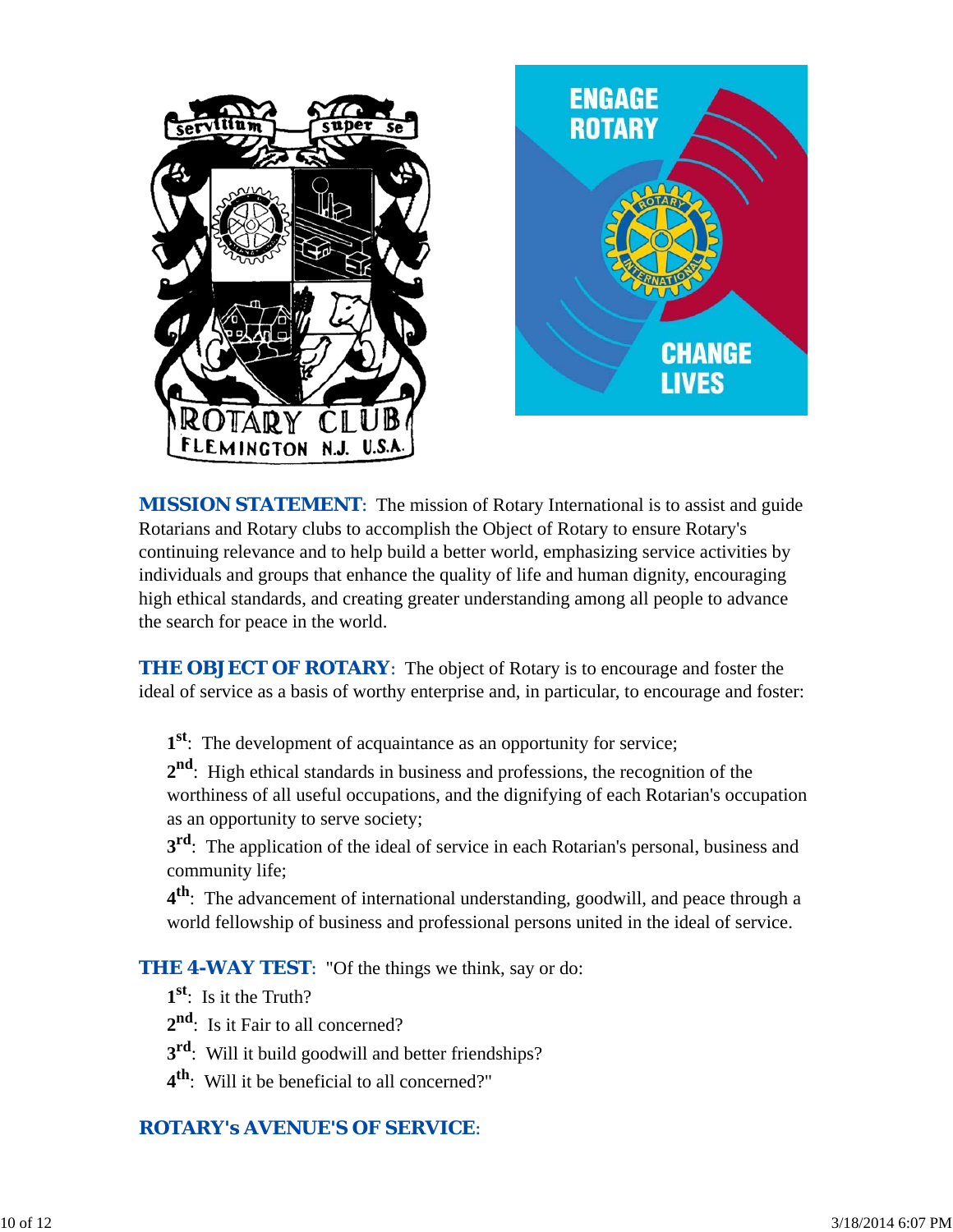

*MISSION STATEMENT*: The mission of Rotary International is to assist and guide Rotarians and Rotary clubs to accomplish the Object of Rotary to ensure Rotary's continuing relevance and to help build a better world, emphasizing service activities by individuals and groups that enhance the quality of life and human dignity, encouraging high ethical standards, and creating greater understanding among all people to advance the search for peace in the world.

**THE OBJECT OF ROTARY:** The object of Rotary is to encourage and foster the ideal of service as a basis of worthy enterprise and, in particular, to encourage and foster:

**1st**: The development of acquaintance as an opportunity for service;

**2nd**: High ethical standards in business and professions, the recognition of the worthiness of all useful occupations, and the dignifying of each Rotarian's occupation as an opportunity to serve society;

**3<sup>rd</sup>**: The application of the ideal of service in each Rotarian's personal, business and community life;

**4th**: The advancement of international understanding, goodwill, and peace through a world fellowship of business and professional persons united in the ideal of service.

*THE 4-WAY TEST*: "Of the things we think, say or do:

- **1st**: Is it the Truth?
- 2<sup>nd</sup>: Is it Fair to all concerned?
- **3rd**: Will it build goodwill and better friendships?
- **4th**: Will it be beneficial to all concerned?"

## *ROTARY's AVENUE'S OF SERVICE*: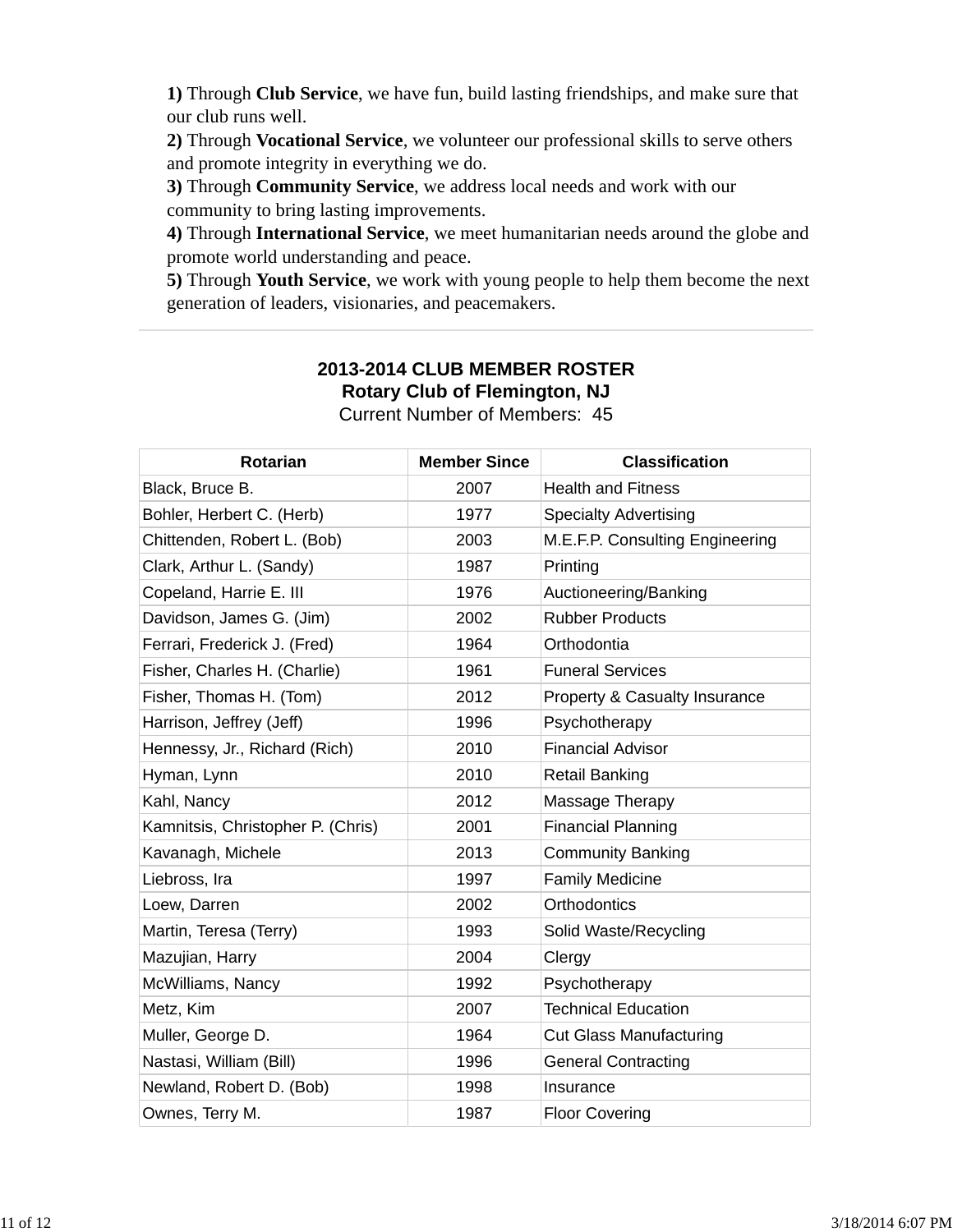**1)** Through **Club Service**, we have fun, build lasting friendships, and make sure that our club runs well.

**2)** Through **Vocational Service**, we volunteer our professional skills to serve others and promote integrity in everything we do.

**3)** Through **Community Service**, we address local needs and work with our community to bring lasting improvements.

**4)** Through **International Service**, we meet humanitarian needs around the globe and promote world understanding and peace.

**5)** Through **Youth Service**, we work with young people to help them become the next generation of leaders, visionaries, and peacemakers.

#### **2013-2014 CLUB MEMBER ROSTER Rotary Club of Flemington, NJ** Current Number of Members: 45

| <b>Rotarian</b>                   | <b>Member Since</b> | <b>Classification</b>           |
|-----------------------------------|---------------------|---------------------------------|
| Black, Bruce B.                   | 2007                | <b>Health and Fitness</b>       |
| Bohler, Herbert C. (Herb)         | 1977                | <b>Specialty Advertising</b>    |
| Chittenden, Robert L. (Bob)       | 2003                | M.E.F.P. Consulting Engineering |
| Clark, Arthur L. (Sandy)          | 1987                | Printing                        |
| Copeland, Harrie E. III           | 1976                | Auctioneering/Banking           |
| Davidson, James G. (Jim)          | 2002                | <b>Rubber Products</b>          |
| Ferrari, Frederick J. (Fred)      | 1964                | Orthodontia                     |
| Fisher, Charles H. (Charlie)      | 1961                | <b>Funeral Services</b>         |
| Fisher, Thomas H. (Tom)           | 2012                | Property & Casualty Insurance   |
| Harrison, Jeffrey (Jeff)          | 1996                | Psychotherapy                   |
| Hennessy, Jr., Richard (Rich)     | 2010                | <b>Financial Advisor</b>        |
| Hyman, Lynn                       | 2010                | <b>Retail Banking</b>           |
| Kahl, Nancy                       | 2012                | Massage Therapy                 |
| Kamnitsis, Christopher P. (Chris) | 2001                | <b>Financial Planning</b>       |
| Kavanagh, Michele                 | 2013                | <b>Community Banking</b>        |
| Liebross, Ira                     | 1997                | <b>Family Medicine</b>          |
| Loew, Darren                      | 2002                | Orthodontics                    |
| Martin, Teresa (Terry)            | 1993                | Solid Waste/Recycling           |
| Mazujian, Harry                   | 2004                | Clergy                          |
| McWilliams, Nancy                 | 1992                | Psychotherapy                   |
| Metz, Kim                         | 2007                | <b>Technical Education</b>      |
| Muller, George D.                 | 1964                | <b>Cut Glass Manufacturing</b>  |
| Nastasi, William (Bill)           | 1996                | <b>General Contracting</b>      |
| Newland, Robert D. (Bob)          | 1998                | Insurance                       |
| Ownes, Terry M.                   | 1987                | <b>Floor Covering</b>           |